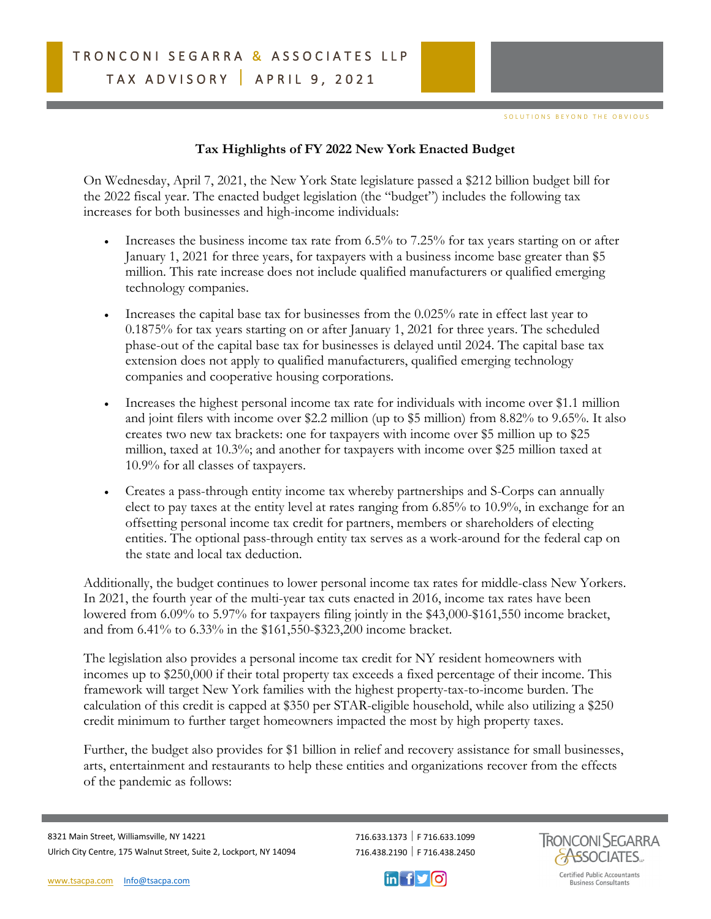## **Tax Highlights of FY 2022 New York Enacted Budget**

On Wednesday, April 7, 2021, the New York State legislature passed a \$212 billion budget bill for the 2022 fiscal year. The enacted budget legislation (the "budget") includes the following tax increases for both businesses and high-income individuals:

- Increases the business income tax rate from 6.5% to 7.25% for tax years starting on or after January 1, 2021 for three years, for taxpayers with a business income base greater than \$5 million. This rate increase does not include qualified manufacturers or qualified emerging technology companies.
- Increases the capital base tax for businesses from the 0.025% rate in effect last year to 0.1875% for tax years starting on or after January 1, 2021 for three years. The scheduled phase-out of the capital base tax for businesses is delayed until 2024. The capital base tax extension does not apply to qualified manufacturers, qualified emerging technology companies and cooperative housing corporations.
- Increases the highest personal income tax rate for individuals with income over \$1.1 million and joint filers with income over \$2.2 million (up to \$5 million) from 8.82% to 9.65%. It also creates two new tax brackets: one for taxpayers with income over \$5 million up to \$25 million, taxed at 10.3%; and another for taxpayers with income over \$25 million taxed at 10.9% for all classes of taxpayers.
- Creates a pass-through entity income tax whereby partnerships and S-Corps can annually elect to pay taxes at the entity level at rates ranging from 6.85% to 10.9%, in exchange for an offsetting personal income tax credit for partners, members or shareholders of electing entities. The optional pass-through entity tax serves as a work-around for the federal cap on the state and local tax deduction.

Additionally, the budget continues to lower personal income tax rates for middle-class New Yorkers. In 2021, the fourth year of the multi-year tax cuts enacted in 2016, income tax rates have been lowered from 6.09% to 5.97% for taxpayers filing jointly in the \$43,000-\$161,550 income bracket, and from 6.41% to 6.33% in the \$161,550-\$323,200 income bracket.

The legislation also provides a personal income tax credit for NY resident homeowners with incomes up to \$250,000 if their total property tax exceeds a fixed percentage of their income. This framework will target New York families with the highest property-tax-to-income burden. The calculation of this credit is capped at \$350 per STAR-eligible household, while also utilizing a \$250 credit minimum to further target homeowners impacted the most by high property taxes.

Further, the budget also provides for \$1 billion in relief and recovery assistance for small businesses, arts, entertainment and restaurants to help these entities and organizations recover from the effects of the pandemic as follows:

8321 Main Street, Williamsville, NY 14221 716.633.1373 | F716.633.1099 Ulrich City Centre, 175 Walnut Street, Suite 2, Lockport, NY 14094 716.438.2190 F 716.438.2450







**Business Consultant:**